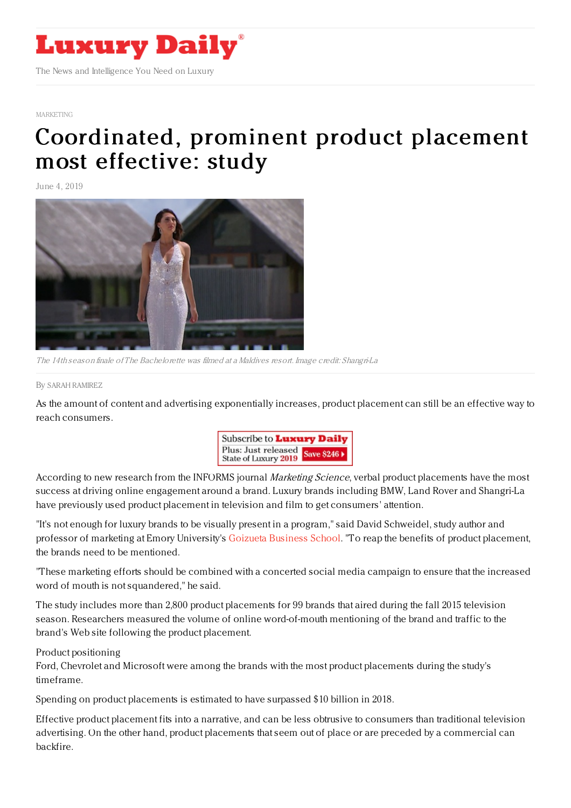

## [MARKETING](https://www.luxurydaily.com/category/sectors/marketing-industry-sectors/)

## [Coordinated,](https://www.luxurydaily.com/coordinated-prominent-product-placement-most-effective-study/) prominent product placement most effective: study

June 4, 2019



The 14th season finale of The Bachelorette was filmed at <sup>a</sup> Maldives resort. Image credit: Shangri-La

## By SARAH [RAMIREZ](file:///author/sarah-ramirez)

As the amount of content and advertising exponentially increases, product placement can still be an effective way to reach consumers.



According to new research from the INFORMS journal Marketing Science, verbal product placements have the most success at driving online engagement around a brand. Luxury brands including BMW, Land Rover and Shangri-La have previously used product placement in television and film to get consumers' attention.

"It's not enough for luxury brands to be visually present in a program," said David Schweidel, study author and professor of marketing at Emory University's Goizueta [Business](https://goizueta.emory.edu/) School. "To reap the benefits of product placement, the brands need to be mentioned.

"These marketing efforts should be combined with a concerted social media campaign to ensure that the increased word of mouth is not squandered," he said.

The study includes more than 2,800 product placements for 99 brands that aired during the fall 2015 television season. Researchers measured the volume of online word-of-mouth mentioning of the brand and traffic to the brand's Web site following the product placement.

## Product positioning

Ford, Chevrolet and Microsoft were among the brands with the most product placements during the study's timeframe.

Spending on product placements is estimated to have surpassed \$10 billion in 2018.

Effective product placement fits into a narrative, and can be less obtrusive to consumers than traditional television advertising. On the other hand, product placements that seem out of place or are preceded by a commercial can backfire.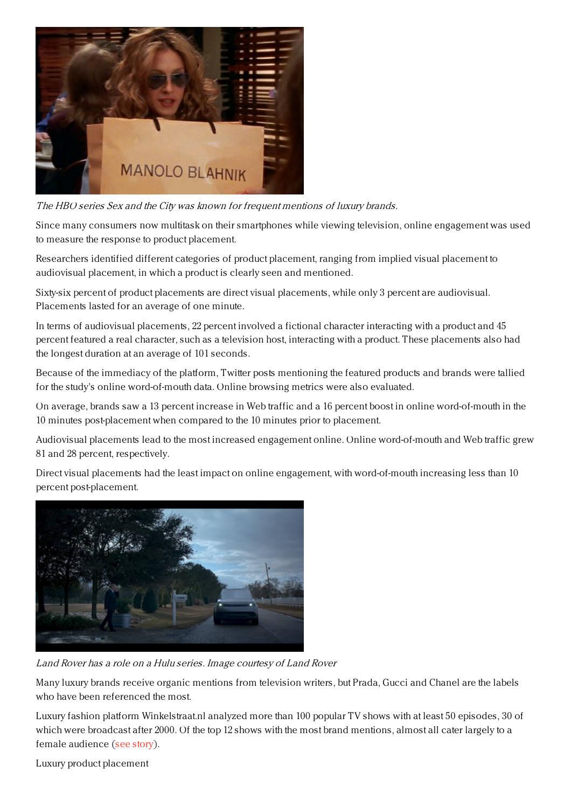

The HBO series Sex and the City was known for frequent mentions of luxury brands.

Since many consumers now multitask on their smartphones while viewing television, online engagement was used to measure the response to product placement.

Researchers identified different categories of product placement, ranging from implied visual placement to audiovisual placement, in which a product is clearly seen and mentioned.

Sixty-six percent of product placements are direct visual placements, while only 3 percent are audiovisual. Placements lasted for an average of one minute.

In terms of audiovisual placements, 22 percent involved a fictional character interacting with a product and 45 percent featured a real character, such as a television host, interacting with a product. These placements also had the longest duration at an average of 101 seconds.

Because of the immediacy of the platform, Twitter posts mentioning the featured products and brands were tallied for the study's online word-of-mouth data. Online browsing metrics were also evaluated.

On average, brands saw a 13 percent increase in Web traffic and a 16 percent boost in online word-of-mouth in the 10 minutes post-placement when compared to the 10 minutes prior to placement.

Audiovisual placements lead to the most increased engagement online. Online word-of-mouth and Web traffic grew 81 and 28 percent, respectively.

Direct visual placements had the least impact on online engagement, with word-of-mouth increasing less than 10 percent post-placement.



Land Rover has <sup>a</sup> role on <sup>a</sup> Hulu series. Image courtesy of Land Rover

Many luxury brands receive organic mentions from television writers, but Prada, Gucci and Chanel are the labels who have been referenced the most.

Luxury fashion platform Winkelstraat.nl analyzed more than 100 popular TV shows with at least 50 episodes, 30 of which were broadcast after 2000. Of the top 12 shows with the most brand mentions, almost all cater largely to a female audience (see [story](https://www.luxurydaily.com/prada-proves-most-popular-brand-for-television-name-dropping/)).

Luxury product placement